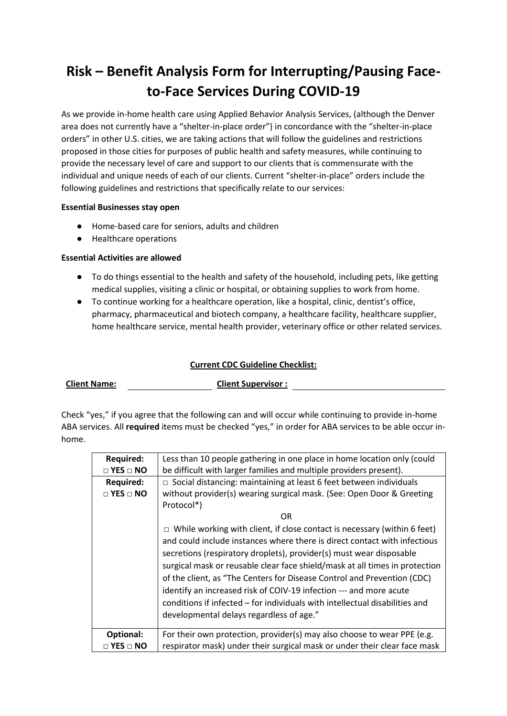# **Risk – Benefit Analysis Form for Interrupting/Pausing Faceto-Face Services During COVID-19**

As we provide in-home health care using Applied Behavior Analysis Services, (although the Denver area does not currently have a "shelter-in-place order") in concordance with the "shelter-in-place orders" in other U.S. cities, we are taking actions that will follow the guidelines and restrictions proposed in those cities for purposes of public health and safety measures, while continuing to provide the necessary level of care and support to our clients that is commensurate with the individual and unique needs of each of our clients. Current "shelter-in-place" orders include the following guidelines and restrictions that specifically relate to our services:

#### **Essential Businesses stay open**

- Home-based care for seniors, adults and children
- Healthcare operations

#### **Essential Activities are allowed**

- To do things essential to the health and safety of the household, including pets, like getting medical supplies, visiting a clinic or hospital, or obtaining supplies to work from home.
- To continue working for a healthcare operation, like a hospital, clinic, dentist's office, pharmacy, pharmaceutical and biotech company, a healthcare facility, healthcare supplier, home healthcare service, mental health provider, veterinary office or other related services.

#### **Current CDC Guideline Checklist:**

| <b>Client Name:</b> |
|---------------------|
|                     |

**Client Supervisor :** 

Check "yes," if you agree that the following can and will occur while continuing to provide in-home ABA services. All **required** items must be checked "yes," in order for ABA services to be able occur inhome.

| <b>Required:</b>     | Less than 10 people gathering in one place in home location only (could         |  |  |  |
|----------------------|---------------------------------------------------------------------------------|--|--|--|
| $\Box$ YES $\Box$ NO | be difficult with larger families and multiple providers present).              |  |  |  |
| <b>Required:</b>     | $\Box$ Social distancing: maintaining at least 6 feet between individuals       |  |  |  |
| $\Box$ YES $\Box$ NO | without provider(s) wearing surgical mask. (See: Open Door & Greeting           |  |  |  |
|                      | Protocol*)                                                                      |  |  |  |
|                      | OR.                                                                             |  |  |  |
|                      | $\Box$ While working with client, if close contact is necessary (within 6 feet) |  |  |  |
|                      | and could include instances where there is direct contact with infectious       |  |  |  |
|                      | secretions (respiratory droplets), provider(s) must wear disposable             |  |  |  |
|                      | surgical mask or reusable clear face shield/mask at all times in protection     |  |  |  |
|                      | of the client, as "The Centers for Disease Control and Prevention (CDC)         |  |  |  |
|                      | identify an increased risk of COIV-19 infection --- and more acute              |  |  |  |
|                      | conditions if infected – for individuals with intellectual disabilities and     |  |  |  |
|                      | developmental delays regardless of age."                                        |  |  |  |
|                      |                                                                                 |  |  |  |
| Optional:            | For their own protection, provider(s) may also choose to wear PPE (e.g.         |  |  |  |
| $\Box$ YES $\Box$ NO | respirator mask) under their surgical mask or under their clear face mask       |  |  |  |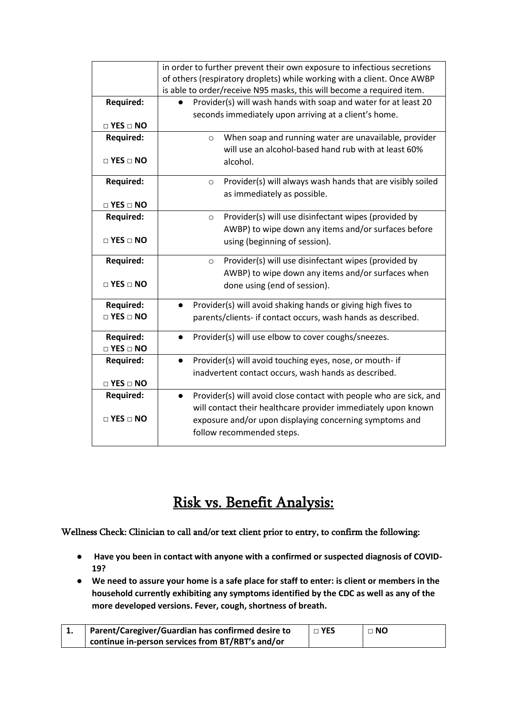|                            | in order to further prevent their own exposure to infectious secretions |  |  |  |
|----------------------------|-------------------------------------------------------------------------|--|--|--|
|                            | of others (respiratory droplets) while working with a client. Once AWBP |  |  |  |
|                            | is able to order/receive N95 masks, this will become a required item.   |  |  |  |
| <b>Required:</b>           | Provider(s) will wash hands with soap and water for at least 20         |  |  |  |
|                            | seconds immediately upon arriving at a client's home.                   |  |  |  |
| $\Box$ YES $\Box$ NO       |                                                                         |  |  |  |
| <b>Required:</b>           | When soap and running water are unavailable, provider<br>$\circ$        |  |  |  |
|                            | will use an alcohol-based hand rub with at least 60%                    |  |  |  |
| $\Box$ YES $\Box$ NO       | alcohol.                                                                |  |  |  |
| <b>Required:</b>           | Provider(s) will always wash hands that are visibly soiled<br>$\circ$   |  |  |  |
|                            | as immediately as possible.                                             |  |  |  |
| $\Box$ YES $\Box$ NO       |                                                                         |  |  |  |
| <b>Required:</b>           | Provider(s) will use disinfectant wipes (provided by<br>$\circ$         |  |  |  |
|                            | AWBP) to wipe down any items and/or surfaces before                     |  |  |  |
| $\square$ YES $\square$ NO | using (beginning of session).                                           |  |  |  |
|                            |                                                                         |  |  |  |
| <b>Required:</b>           | Provider(s) will use disinfectant wipes (provided by<br>$\circ$         |  |  |  |
|                            | AWBP) to wipe down any items and/or surfaces when                       |  |  |  |
| $\square$ YES $\square$ NO | done using (end of session).                                            |  |  |  |
| <b>Required:</b>           | Provider(s) will avoid shaking hands or giving high fives to            |  |  |  |
| $\Box$ YES $\Box$ NO       | parents/clients- if contact occurs, wash hands as described.            |  |  |  |
|                            |                                                                         |  |  |  |
| <b>Required:</b>           | Provider(s) will use elbow to cover coughs/sneezes.                     |  |  |  |
| $\square$ YES $\square$ NO |                                                                         |  |  |  |
| <b>Required:</b>           | Provider(s) will avoid touching eyes, nose, or mouth- if<br>$\bullet$   |  |  |  |
|                            | inadvertent contact occurs, wash hands as described.                    |  |  |  |
| $\square$ YES $\square$ NO |                                                                         |  |  |  |
| <b>Required:</b>           | Provider(s) will avoid close contact with people who are sick, and      |  |  |  |
|                            | will contact their healthcare provider immediately upon known           |  |  |  |
| $\Box$ YES $\Box$ NO       | exposure and/or upon displaying concerning symptoms and                 |  |  |  |
|                            | follow recommended steps.                                               |  |  |  |

## Risk vs. Benefit Analysis:

Wellness Check: Clinician to call and/or text client prior to entry, to confirm the following:

- **Have you been in contact with anyone with a confirmed or suspected diagnosis of COVID-19?**
- **We need to assure your home is a safe place for staff to enter: is client or members in the household currently exhibiting any symptoms identified by the CDC as well as any of the more developed versions. Fever, cough, shortness of breath.**

| . . | Parent/Caregiver/Guardian has confirmed desire to | $\sqcap$ YES | $\Box$ NO |
|-----|---------------------------------------------------|--------------|-----------|
|     | continue in-person services from BT/RBT's and/or  |              |           |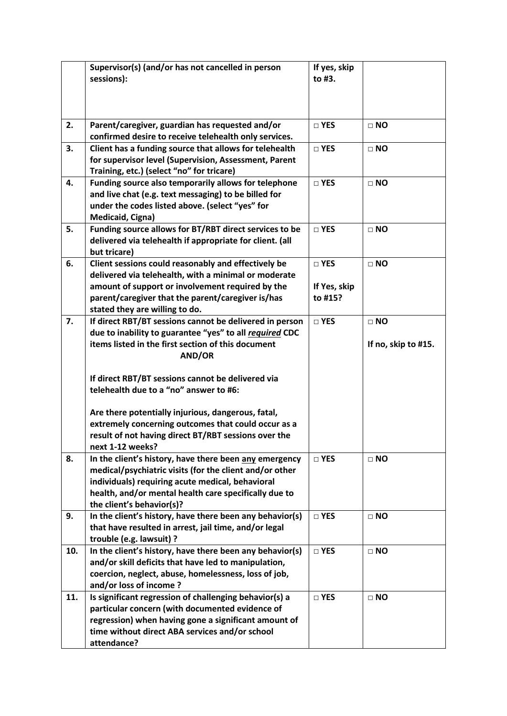|     | Supervisor(s) (and/or has not cancelled in person                                                             | If yes, skip  |                     |
|-----|---------------------------------------------------------------------------------------------------------------|---------------|---------------------|
|     | sessions):                                                                                                    | to #3.        |                     |
|     |                                                                                                               |               |                     |
|     |                                                                                                               |               |                     |
| 2.  | Parent/caregiver, guardian has requested and/or                                                               | □ YES         | $\Box$ NO           |
|     | confirmed desire to receive telehealth only services.                                                         |               |                     |
| 3.  | Client has a funding source that allows for telehealth                                                        | □ YES         | $\Box$ NO           |
|     | for supervisor level (Supervision, Assessment, Parent                                                         |               |                     |
|     | Training, etc.) (select "no" for tricare)                                                                     |               |                     |
| 4.  | Funding source also temporarily allows for telephone                                                          | □ YES         | $\Box$ NO           |
|     | and live chat (e.g. text messaging) to be billed for                                                          |               |                     |
|     | under the codes listed above. (select "yes" for<br>Medicaid, Cigna)                                           |               |                     |
| 5.  | Funding source allows for BT/RBT direct services to be                                                        | $\square$ YES | $\Box$ NO           |
|     | delivered via telehealth if appropriate for client. (all                                                      |               |                     |
|     | but tricare)                                                                                                  |               |                     |
| 6.  | Client sessions could reasonably and effectively be                                                           | □ YES         | $\Box$ NO           |
|     | delivered via telehealth, with a minimal or moderate                                                          |               |                     |
|     | amount of support or involvement required by the                                                              | If Yes, skip  |                     |
|     | parent/caregiver that the parent/caregiver is/has                                                             | to #15?       |                     |
|     | stated they are willing to do.                                                                                |               |                     |
| 7.  | If direct RBT/BT sessions cannot be delivered in person                                                       | $\square$ YES | $\Box$ NO           |
|     | due to inability to guarantee "yes" to all required CDC<br>items listed in the first section of this document |               |                     |
|     | AND/OR                                                                                                        |               | If no, skip to #15. |
|     |                                                                                                               |               |                     |
|     | If direct RBT/BT sessions cannot be delivered via                                                             |               |                     |
|     | telehealth due to a "no" answer to #6:                                                                        |               |                     |
|     | Are there potentially injurious, dangerous, fatal,                                                            |               |                     |
|     | extremely concerning outcomes that could occur as a                                                           |               |                     |
|     | result of not having direct BT/RBT sessions over the                                                          |               |                     |
|     | next 1-12 weeks?                                                                                              |               |                     |
| 8.  | In the client's history, have there been any emergency                                                        | $\square$ YES | $\Box$ NO           |
|     | medical/psychiatric visits (for the client and/or other                                                       |               |                     |
|     | individuals) requiring acute medical, behavioral                                                              |               |                     |
|     | health, and/or mental health care specifically due to<br>the client's behavior(s)?                            |               |                     |
| 9.  | In the client's history, have there been any behavior(s)                                                      | □ YES         | $\Box$ NO           |
|     | that have resulted in arrest, jail time, and/or legal                                                         |               |                     |
|     | trouble (e.g. lawsuit) ?                                                                                      |               |                     |
| 10. | In the client's history, have there been any behavior(s)                                                      | □ YES         | $\Box$ NO           |
|     | and/or skill deficits that have led to manipulation,                                                          |               |                     |
|     | coercion, neglect, abuse, homelessness, loss of job,                                                          |               |                     |
|     | and/or loss of income?                                                                                        |               |                     |
| 11. | Is significant regression of challenging behavior(s) a                                                        | □ YES         | $\Box$ NO           |
|     | particular concern (with documented evidence of                                                               |               |                     |
|     | regression) when having gone a significant amount of                                                          |               |                     |
|     | time without direct ABA services and/or school<br>attendance?                                                 |               |                     |
|     |                                                                                                               |               |                     |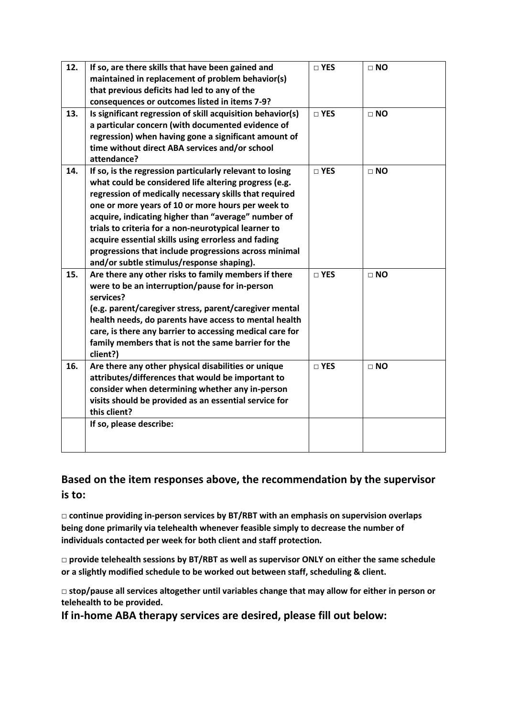| 12. | If so, are there skills that have been gained and<br>maintained in replacement of problem behavior(s) | $\square$ YES | $\Box$ NO |
|-----|-------------------------------------------------------------------------------------------------------|---------------|-----------|
|     | that previous deficits had led to any of the                                                          |               |           |
|     | consequences or outcomes listed in items 7-9?                                                         |               |           |
| 13. | Is significant regression of skill acquisition behavior(s)                                            | $\square$ YES | $\Box$ NO |
|     | a particular concern (with documented evidence of                                                     |               |           |
|     | regression) when having gone a significant amount of                                                  |               |           |
|     | time without direct ABA services and/or school                                                        |               |           |
|     | attendance?                                                                                           |               |           |
| 14. | If so, is the regression particularly relevant to losing                                              | $\square$ YES | $\Box$ NO |
|     | what could be considered life altering progress (e.g.                                                 |               |           |
|     | regression of medically necessary skills that required                                                |               |           |
|     | one or more years of 10 or more hours per week to                                                     |               |           |
|     | acquire, indicating higher than "average" number of                                                   |               |           |
|     | trials to criteria for a non-neurotypical learner to                                                  |               |           |
|     | acquire essential skills using errorless and fading                                                   |               |           |
|     | progressions that include progressions across minimal                                                 |               |           |
| 15. | and/or subtle stimulus/response shaping).<br>Are there any other risks to family members if there     | $\Box$ YES    | $\Box$ NO |
|     | were to be an interruption/pause for in-person                                                        |               |           |
|     | services?                                                                                             |               |           |
|     | (e.g. parent/caregiver stress, parent/caregiver mental                                                |               |           |
|     | health needs, do parents have access to mental health                                                 |               |           |
|     | care, is there any barrier to accessing medical care for                                              |               |           |
|     | family members that is not the same barrier for the                                                   |               |           |
|     | client?)                                                                                              |               |           |
| 16. | Are there any other physical disabilities or unique                                                   | $\square$ YES | $\Box$ NO |
|     | attributes/differences that would be important to                                                     |               |           |
|     | consider when determining whether any in-person                                                       |               |           |
|     | visits should be provided as an essential service for                                                 |               |           |
|     | this client?                                                                                          |               |           |
|     | If so, please describe:                                                                               |               |           |
|     |                                                                                                       |               |           |
|     |                                                                                                       |               |           |

### **Based on the item responses above, the recommendation by the supervisor is to:**

**□ continue providing in-person services by BT/RBT with an emphasis on supervision overlaps being done primarily via telehealth whenever feasible simply to decrease the number of individuals contacted per week for both client and staff protection.**

**□ provide telehealth sessions by BT/RBT as well as supervisor ONLY on either the same schedule or a slightly modified schedule to be worked out between staff, scheduling & client.**

**□ stop/pause all services altogether until variables change that may allow for either in person or telehealth to be provided.**

**If in-home ABA therapy services are desired, please fill out below:**